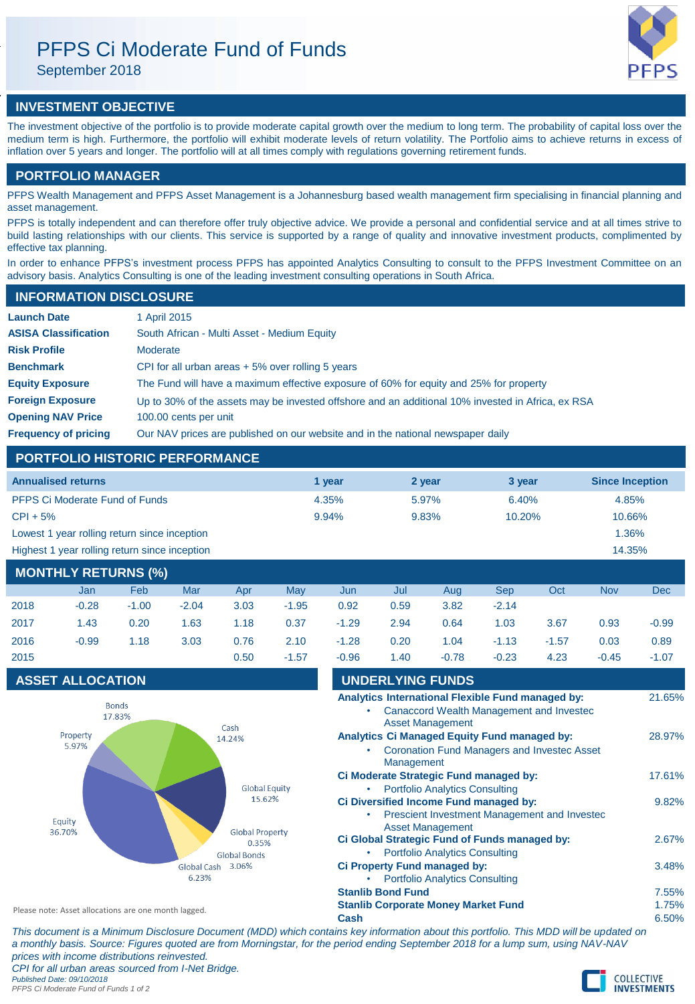# PFPS Ci Moderate Fund of Funds

September 2018

# **INVESTMENT OBJECTIVE**

The investment objective of the portfolio is to provide moderate capital growth over the medium to long term. The probability of capital loss over the medium term is high. Furthermore, the portfolio will exhibit moderate levels of return volatility. The Portfolio aims to achieve returns in excess of inflation over 5 years and longer. The portfolio will at all times comply with regulations governing retirement funds.

# **PORTFOLIO MANAGER**

PFPS Wealth Management and PFPS Asset Management is a Johannesburg based wealth management firm specialising in financial planning and asset management.

PFPS is totally independent and can therefore offer truly objective advice. We provide a personal and confidential service and at all times strive to build lasting relationships with our clients. This service is supported by a range of quality and innovative investment products, complimented by effective tax planning.

In order to enhance PFPS's investment process PFPS has appointed Analytics Consulting to consult to the PFPS Investment Committee on an advisory basis. Analytics Consulting is one of the leading investment consulting operations in South Africa.

# **INFORMATION DISCLOSURE**

| <b>Launch Date</b>          | 1 April 2015                                                                                      |
|-----------------------------|---------------------------------------------------------------------------------------------------|
| <b>ASISA Classification</b> | South African - Multi Asset - Medium Equity                                                       |
| <b>Risk Profile</b>         | Moderate                                                                                          |
| <b>Benchmark</b>            | CPI for all urban areas $+5\%$ over rolling 5 years                                               |
| <b>Equity Exposure</b>      | The Fund will have a maximum effective exposure of 60% for equity and 25% for property            |
| <b>Foreign Exposure</b>     | Up to 30% of the assets may be invested offshore and an additional 10% invested in Africa, ex RSA |
| <b>Opening NAV Price</b>    | 100.00 cents per unit                                                                             |
| <b>Frequency of pricing</b> | Our NAV prices are published on our website and in the national newspaper daily                   |

# **PORTFOLIO HISTORIC PERFORMANCE**

| <b>Annualised returns</b>                     | 1 vear | 2 year   | 3 year | <b>Since Inception</b> |
|-----------------------------------------------|--------|----------|--------|------------------------|
| <b>PFPS Ci Moderate Fund of Funds</b>         | 4.35%  | $5.97\%$ | 6.40%  | 4.85%                  |
| $CPI + 5%$                                    | 9.94%  | 9.83%    | 10.20% | 10.66%                 |
| Lowest 1 year rolling return since inception  |        |          |        | 1.36%                  |
| Highest 1 year rolling return since inception |        |          |        | 14.35%                 |

# **MONTHLY RETURNS (%)**

|      | Jan     | Feb     | Mar     | Apr  | <b>May</b> | Jun     | Jul  | Aug     | <b>Sep</b> | Oct     | <b>Nov</b> | Dec     |
|------|---------|---------|---------|------|------------|---------|------|---------|------------|---------|------------|---------|
| 2018 | $-0.28$ | $-1.00$ | $-2.04$ | 3.03 | $-1.95$    | 0.92    | 0.59 | 3.82    | $-2.14$    |         |            |         |
| 2017 | 1.43    | 0.20    | 1.63    | 1.18 | 0.37       | $-1.29$ | 2.94 | 0.64    | 1.03       | 3.67    | 0.93       | $-0.99$ |
| 2016 | $-0.99$ | 1.18    | 3.03    | 0.76 | 2.10       | $-1.28$ | 0.20 | 1.04    | $-1.13$    | $-1.57$ | 0.03       | 0.89    |
| 2015 |         |         |         | 0.50 | $-1.57$    | $-0.96$ | 1.40 | $-0.78$ | $-0.23$    | 4.23    | $-0.45$    | $-1.07$ |

# **ASSET ALLOCATION**



| $-0.96$ | 1.40                                                | $-0.78$                               | $-0.23$                                             | 4.23 | $-0.45$                                                                  | $-1.07$ |
|---------|-----------------------------------------------------|---------------------------------------|-----------------------------------------------------|------|--------------------------------------------------------------------------|---------|
|         | <b>UNDERLYING FUNDS</b>                             |                                       |                                                     |      |                                                                          |         |
|         | Analytics International Flexible Fund managed by:   |                                       |                                                     |      |                                                                          | 21.65%  |
|         |                                                     |                                       | Canaccord Wealth Management and Investec            |      |                                                                          |         |
|         |                                                     | <b>Asset Management</b>               |                                                     |      |                                                                          |         |
|         | <b>Analytics Ci Managed Equity Fund managed by:</b> |                                       |                                                     |      |                                                                          | 28.97%  |
|         |                                                     |                                       | <b>Coronation Fund Managers and Investec Asset</b>  |      |                                                                          |         |
|         | Management                                          |                                       |                                                     |      |                                                                          |         |
|         | Ci Moderate Strategic Fund managed by:              |                                       |                                                     |      |                                                                          | 17.61%  |
|         |                                                     | <b>Portfolio Analytics Consulting</b> |                                                     |      |                                                                          |         |
|         | Ci Diversified Income Fund managed by:              |                                       |                                                     |      |                                                                          | 9.82%   |
|         |                                                     |                                       | <b>Prescient Investment Management and Investec</b> |      |                                                                          |         |
|         |                                                     | <b>Asset Management</b>               |                                                     |      |                                                                          |         |
|         | Ci Global Strategic Fund of Funds managed by:       |                                       |                                                     |      |                                                                          | 2.67%   |
|         |                                                     | <b>Portfolio Analytics Consulting</b> |                                                     |      |                                                                          |         |
|         | Ci Property Fund managed by:                        |                                       |                                                     |      |                                                                          | 3.48%   |
|         |                                                     | <b>Portfolio Analytics Consulting</b> |                                                     |      |                                                                          |         |
|         | <b>Stanlib Bond Fund</b>                            |                                       |                                                     |      |                                                                          | 7.55%   |
|         | <b>Stanlib Corporate Money Market Fund</b>          |                                       |                                                     |      |                                                                          | 1.75%   |
| Cash    |                                                     |                                       |                                                     |      |                                                                          | 6.50%   |
|         |                                                     |                                       |                                                     |      | ntains key information about this portfolio. This MDD will be undated on |         |

*This document is a Minimum Disclosure Document (MDD) which contains key information about the updated on this morma a monthly basis. Source: Figures quoted are from Morningstar, for the period ending September 2018 for a lump sum, using NAV-NAV prices with income distributions reinvested. CPI for all urban areas sourced from I-Net Bridge.*

*Published Date: 09/10/2018 PFPS Ci Moderate Fund of Funds 1 of 2*

Please note: Asset allocations are one month lagged.